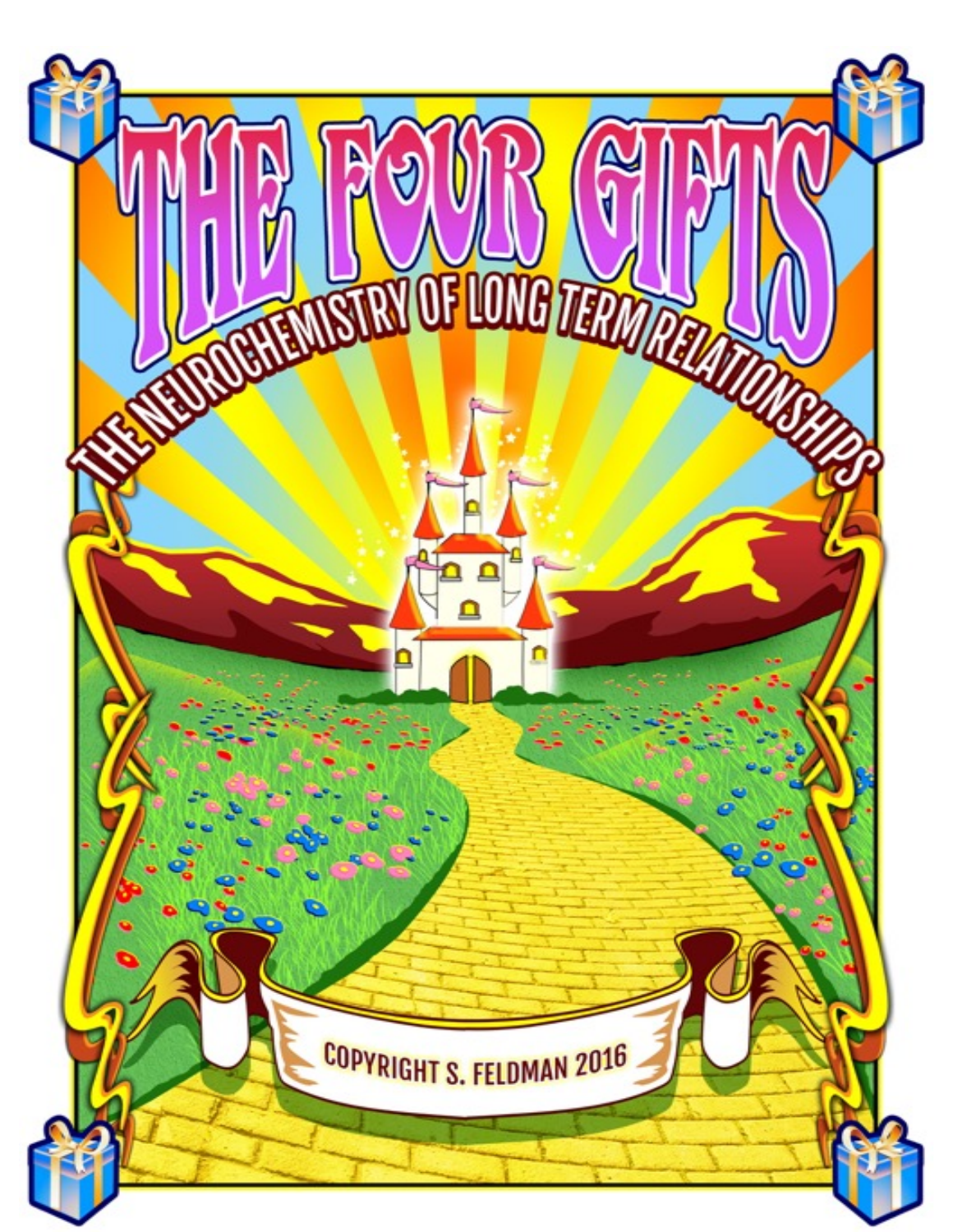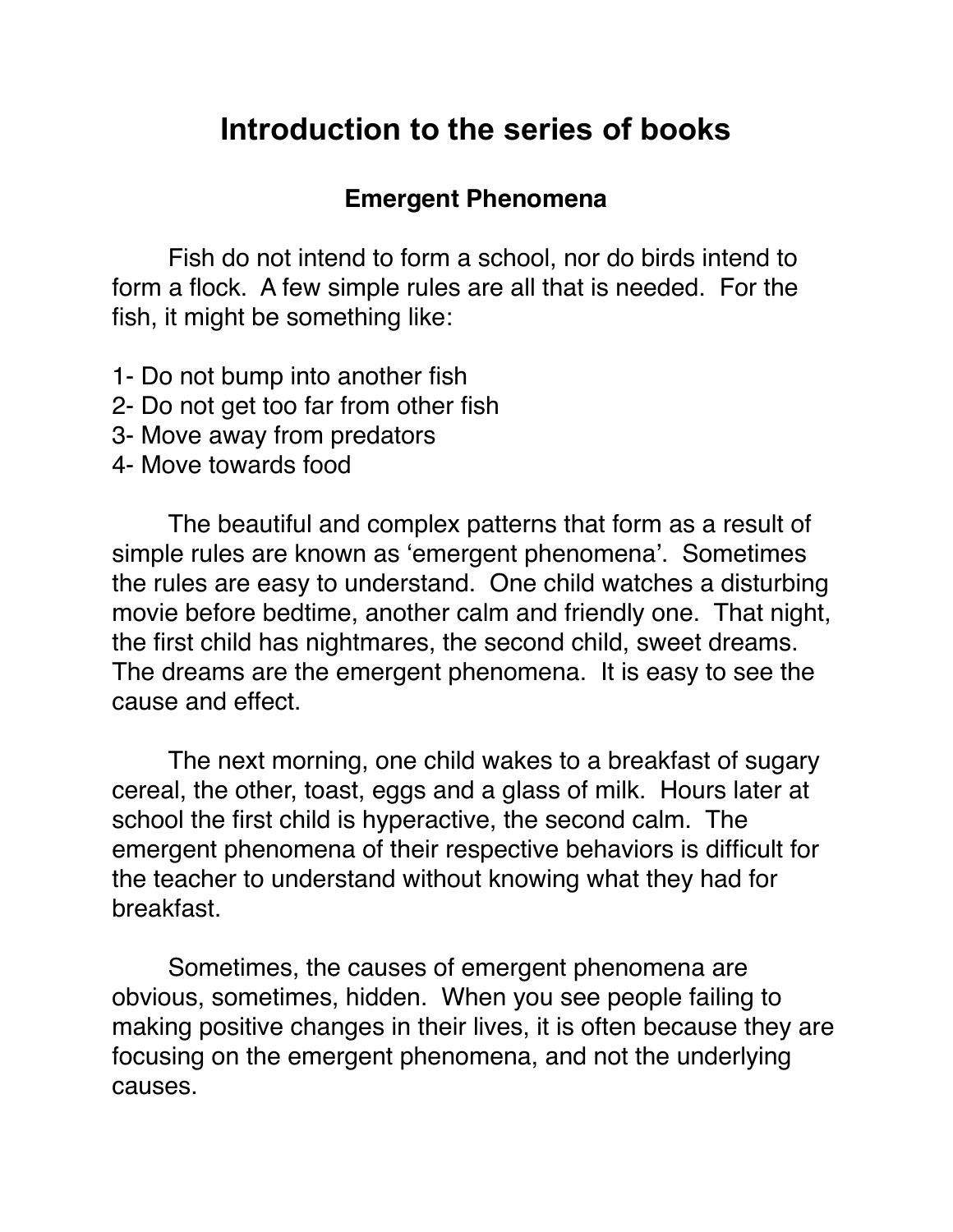## **Introduction to the series of books**

#### **Emergent Phenomena**

Fish do not intend to form a school, nor do birds intend to form a flock. A few simple rules are all that is needed. For the fish, it might be something like:

1- Do not bump into another fish

- 2- Do not get too far from other fish
- 3- Move away from predators
- 4- Move towards food

The beautiful and complex patterns that form as a result of simple rules are known as 'emergent phenomena'. Sometimes the rules are easy to understand. One child watches a disturbing movie before bedtime, another calm and friendly one. That night, the first child has nightmares, the second child, sweet dreams. The dreams are the emergent phenomena. It is easy to see the cause and effect.

The next morning, one child wakes to a breakfast of sugary cereal, the other, toast, eggs and a glass of milk. Hours later at school the first child is hyperactive, the second calm. The emergent phenomena of their respective behaviors is difficult for the teacher to understand without knowing what they had for breakfast.

Sometimes, the causes of emergent phenomena are obvious, sometimes, hidden. When you see people failing to making positive changes in their lives, it is often because they are focusing on the emergent phenomena, and not the underlying causes.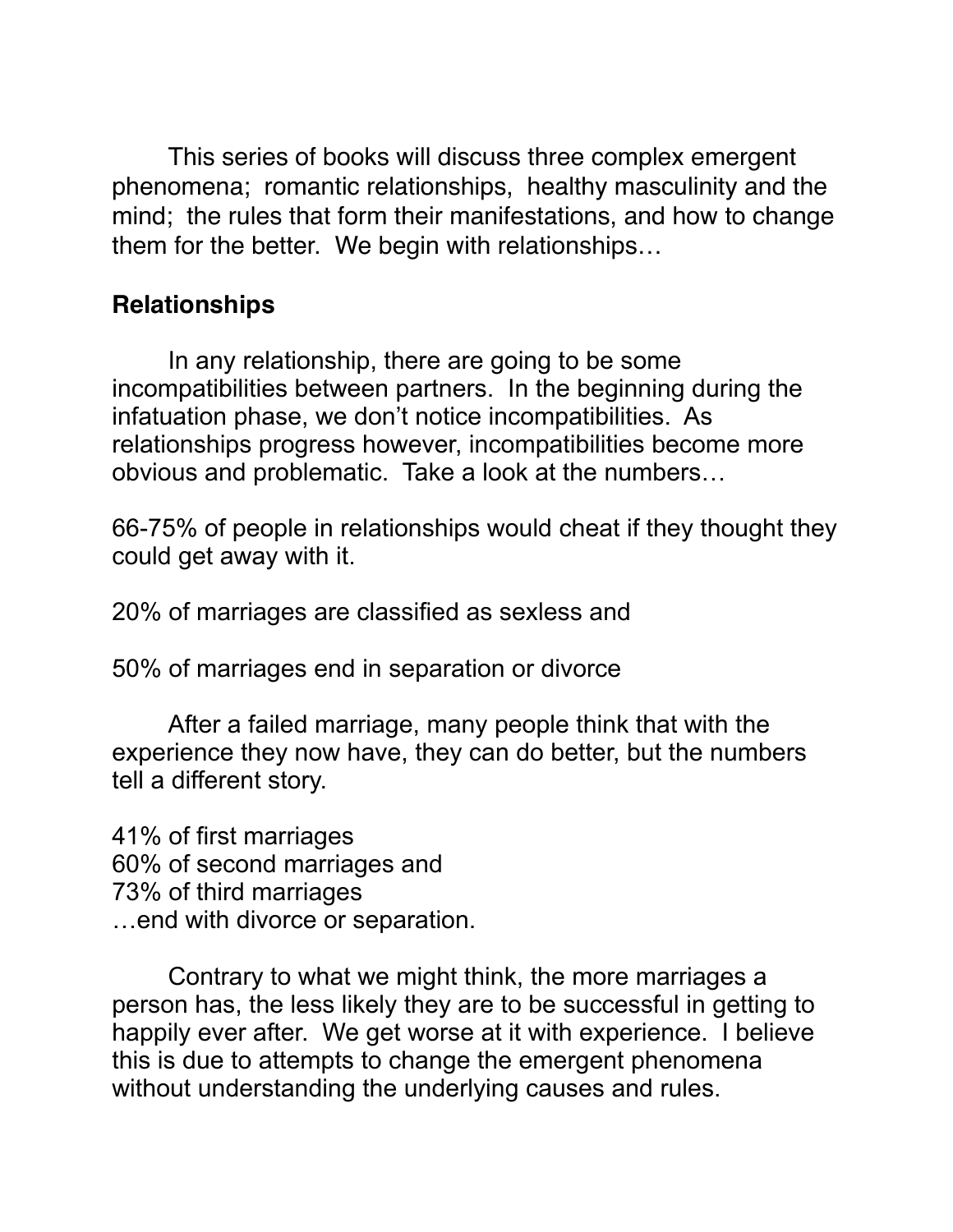This series of books will discuss three complex emergent phenomena; romantic relationships, healthy masculinity and the mind; the rules that form their manifestations, and how to change them for the better. We begin with relationships…

## **Relationships**

In any relationship, there are going to be some incompatibilities between partners. In the beginning during the infatuation phase, we don't notice incompatibilities. As relationships progress however, incompatibilities become more obvious and problematic. Take a look at the numbers…

66-75% of people in relationships would cheat if they thought they could get away with it.

20% of marriages are classified as sexless and

50% of marriages end in separation or divorce

 After a failed marriage, many people think that with the experience they now have, they can do better, but the numbers tell a different story.

41% of first marriages 60% of second marriages and 73% of third marriages …end with divorce or separation.

 Contrary to what we might think, the more marriages a person has, the less likely they are to be successful in getting to happily ever after. We get worse at it with experience. I believe this is due to attempts to change the emergent phenomena without understanding the underlying causes and rules.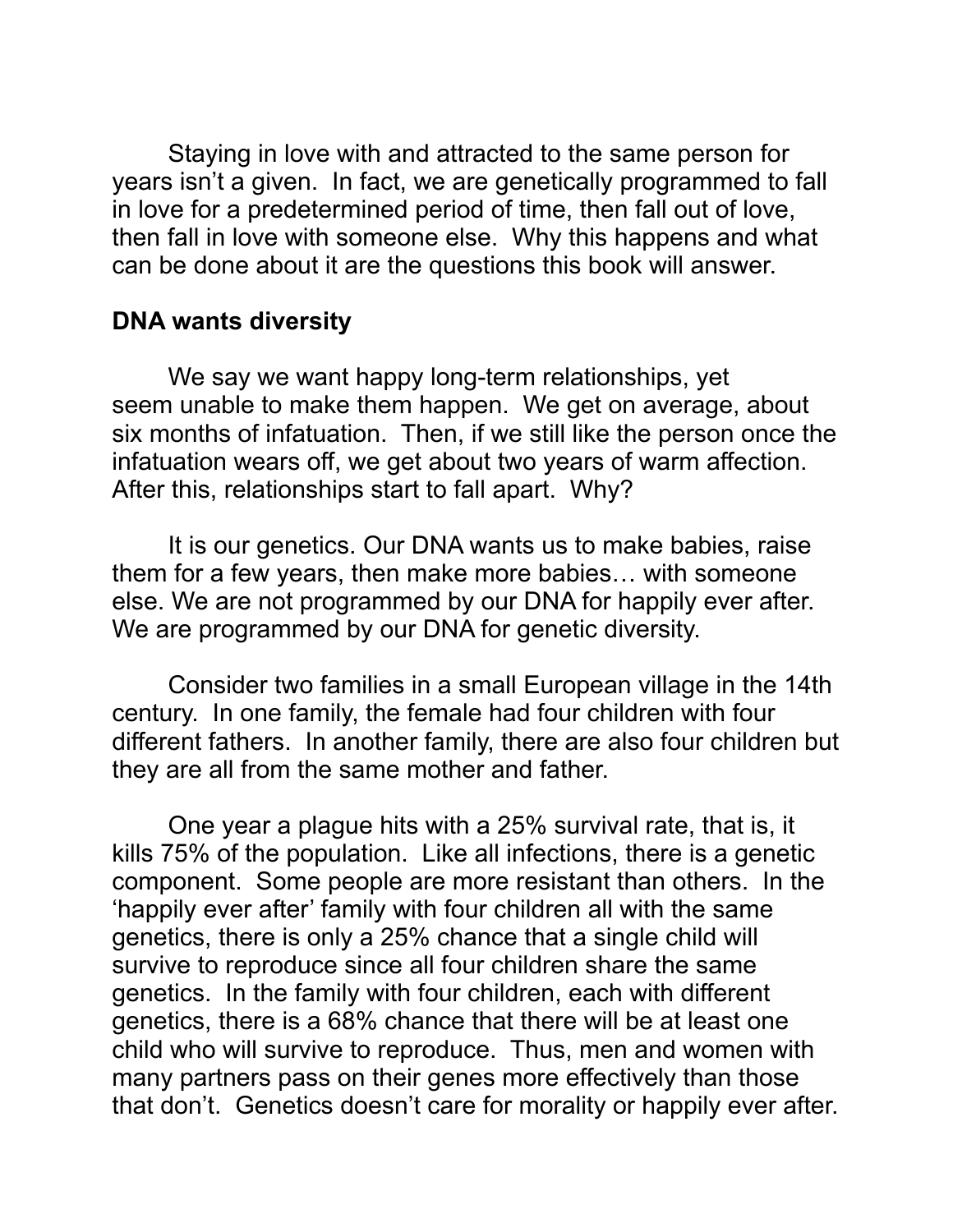Staying in love with and attracted to the same person for years isn't a given. In fact, we are genetically programmed to fall in love for a predetermined period of time, then fall out of love, then fall in love with someone else. Why this happens and what can be done about it are the questions this book will answer.

#### **DNA wants diversity**

 We say we want happy long-term relationships, yet seem unable to make them happen. We get on average, about six months of infatuation. Then, if we still like the person once the infatuation wears off, we get about two years of warm affection. After this, relationships start to fall apart. Why?

It is our genetics. Our DNA wants us to make babies, raise them for a few years, then make more babies… with someone else. We are not programmed by our DNA for happily ever after. We are programmed by our DNA for genetic diversity.

 Consider two families in a small European village in the 14th century. In one family, the female had four children with four different fathers. In another family, there are also four children but they are all from the same mother and father.

 One year a plague hits with a 25% survival rate, that is, it kills 75% of the population. Like all infections, there is a genetic component. Some people are more resistant than others. In the 'happily ever after' family with four children all with the same genetics, there is only a 25% chance that a single child will survive to reproduce since all four children share the same genetics. In the family with four children, each with different genetics, there is a 68% chance that there will be at least one child who will survive to reproduce. Thus, men and women with many partners pass on their genes more effectively than those that don't. Genetics doesn't care for morality or happily ever after.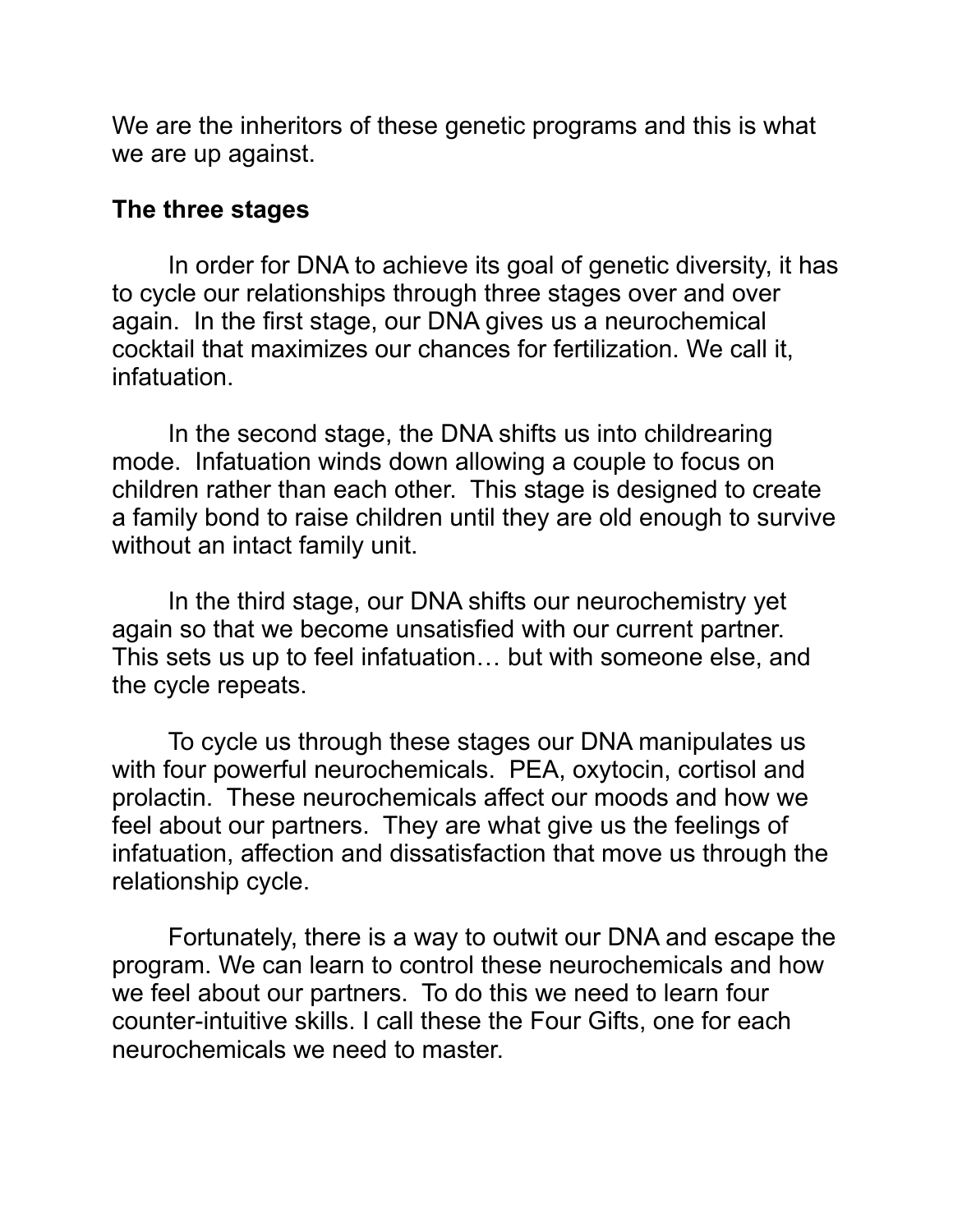We are the inheritors of these genetic programs and this is what we are up against.

#### **The three stages**

 In order for DNA to achieve its goal of genetic diversity, it has to cycle our relationships through three stages over and over again. In the first stage, our DNA gives us a neurochemical cocktail that maximizes our chances for fertilization. We call it, infatuation.

In the second stage, the DNA shifts us into childrearing mode. Infatuation winds down allowing a couple to focus on children rather than each other. This stage is designed to create a family bond to raise children until they are old enough to survive without an intact family unit.

 In the third stage, our DNA shifts our neurochemistry yet again so that we become unsatisfied with our current partner. This sets us up to feel infatuation… but with someone else, and the cycle repeats.

 To cycle us through these stages our DNA manipulates us with four powerful neurochemicals. PEA, oxytocin, cortisol and prolactin. These neurochemicals affect our moods and how we feel about our partners. They are what give us the feelings of infatuation, affection and dissatisfaction that move us through the relationship cycle.

 Fortunately, there is a way to outwit our DNA and escape the program. We can learn to control these neurochemicals and how we feel about our partners. To do this we need to learn four counter-intuitive skills. I call these the Four Gifts, one for each neurochemicals we need to master.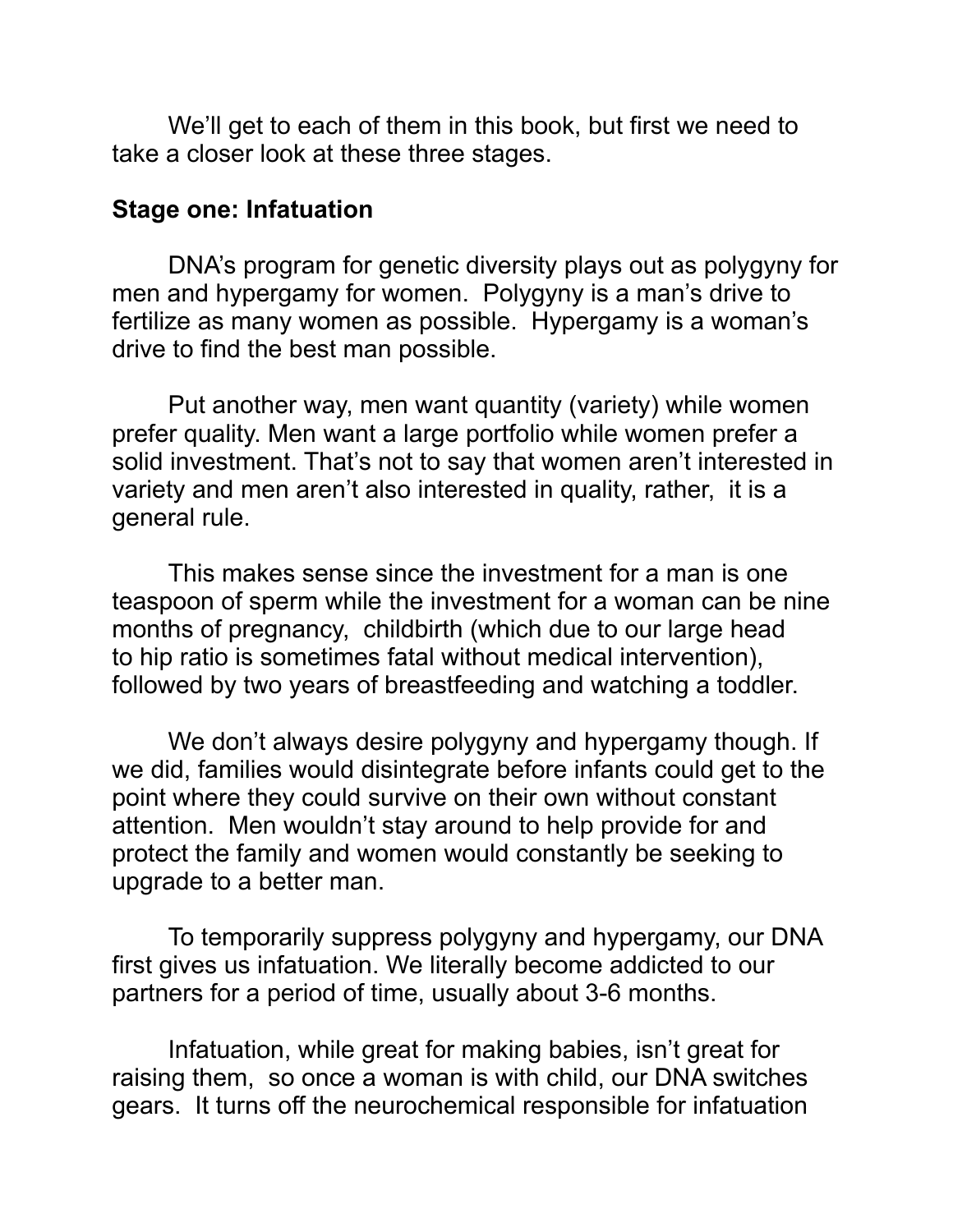We'll get to each of them in this book, but first we need to take a closer look at these three stages.

#### **Stage one: Infatuation**

DNA's program for genetic diversity plays out as polygyny for men and hypergamy for women. Polygyny is a man's drive to fertilize as many women as possible. Hypergamy is a woman's drive to find the best man possible.

 Put another way, men want quantity (variety) while women prefer quality. Men want a large portfolio while women prefer a solid investment. That's not to say that women aren't interested in variety and men aren't also interested in quality, rather, it is a general rule.

 This makes sense since the investment for a man is one teaspoon of sperm while the investment for a woman can be nine months of pregnancy, childbirth (which due to our large head to hip ratio is sometimes fatal without medical intervention), followed by two years of breastfeeding and watching a toddler.

We don't always desire polygyny and hypergamy though. If we did, families would disintegrate before infants could get to the point where they could survive on their own without constant attention. Men wouldn't stay around to help provide for and protect the family and women would constantly be seeking to upgrade to a better man.

 To temporarily suppress polygyny and hypergamy, our DNA first gives us infatuation. We literally become addicted to our partners for a period of time, usually about 3-6 months.

Infatuation, while great for making babies, isn't great for raising them, so once a woman is with child, our DNA switches gears. It turns off the neurochemical responsible for infatuation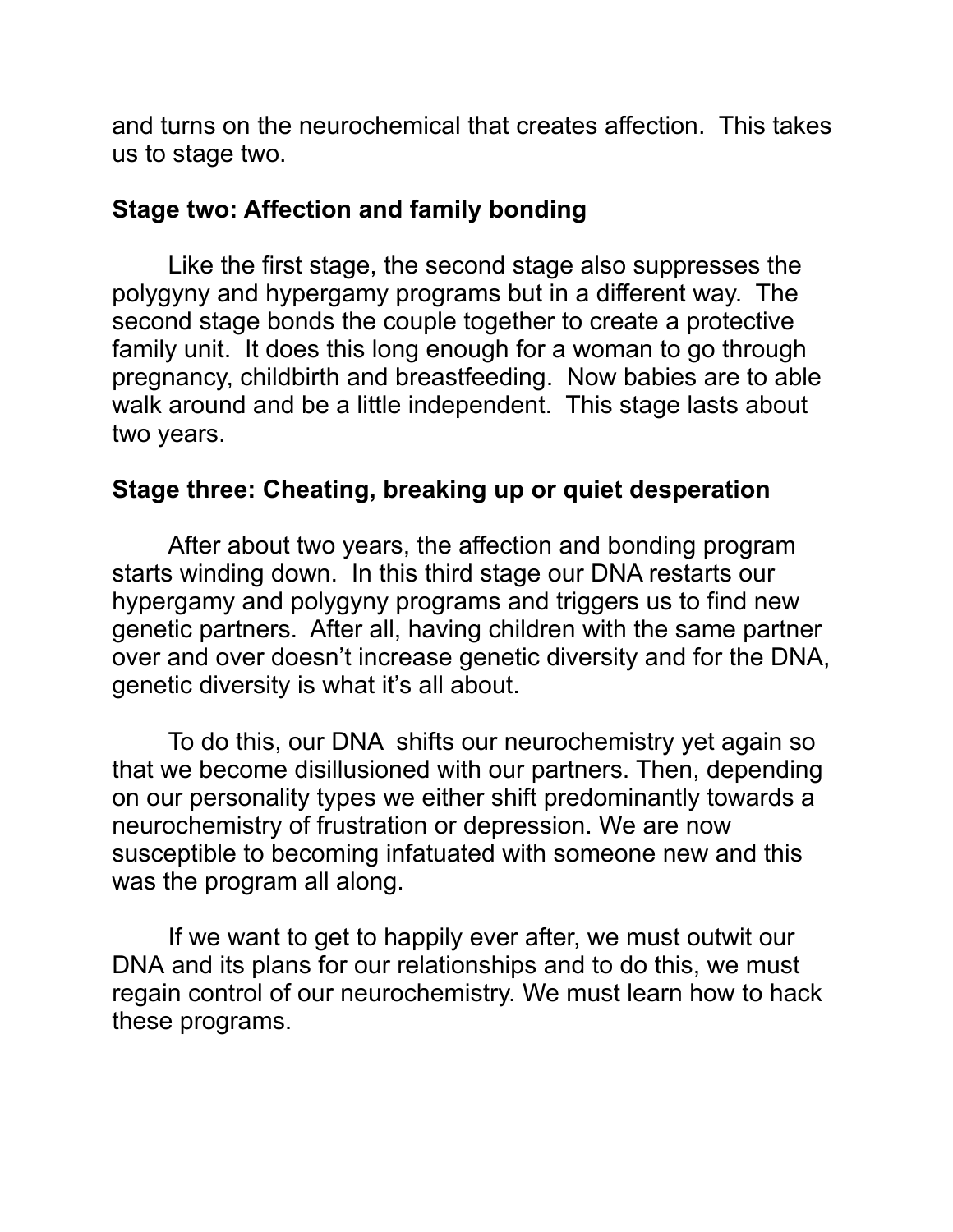and turns on the neurochemical that creates affection. This takes us to stage two.

## **Stage two: Affection and family bonding**

 Like the first stage, the second stage also suppresses the polygyny and hypergamy programs but in a different way. The second stage bonds the couple together to create a protective family unit. It does this long enough for a woman to go through pregnancy, childbirth and breastfeeding. Now babies are to able walk around and be a little independent. This stage lasts about two years.

## **Stage three: Cheating, breaking up or quiet desperation**

After about two years, the affection and bonding program starts winding down. In this third stage our DNA restarts our hypergamy and polygyny programs and triggers us to find new genetic partners. After all, having children with the same partner over and over doesn't increase genetic diversity and for the DNA, genetic diversity is what it's all about.

To do this, our DNA shifts our neurochemistry yet again so that we become disillusioned with our partners. Then, depending on our personality types we either shift predominantly towards a neurochemistry of frustration or depression. We are now susceptible to becoming infatuated with someone new and this was the program all along.

 If we want to get to happily ever after, we must outwit our DNA and its plans for our relationships and to do this, we must regain control of our neurochemistry. We must learn how to hack these programs.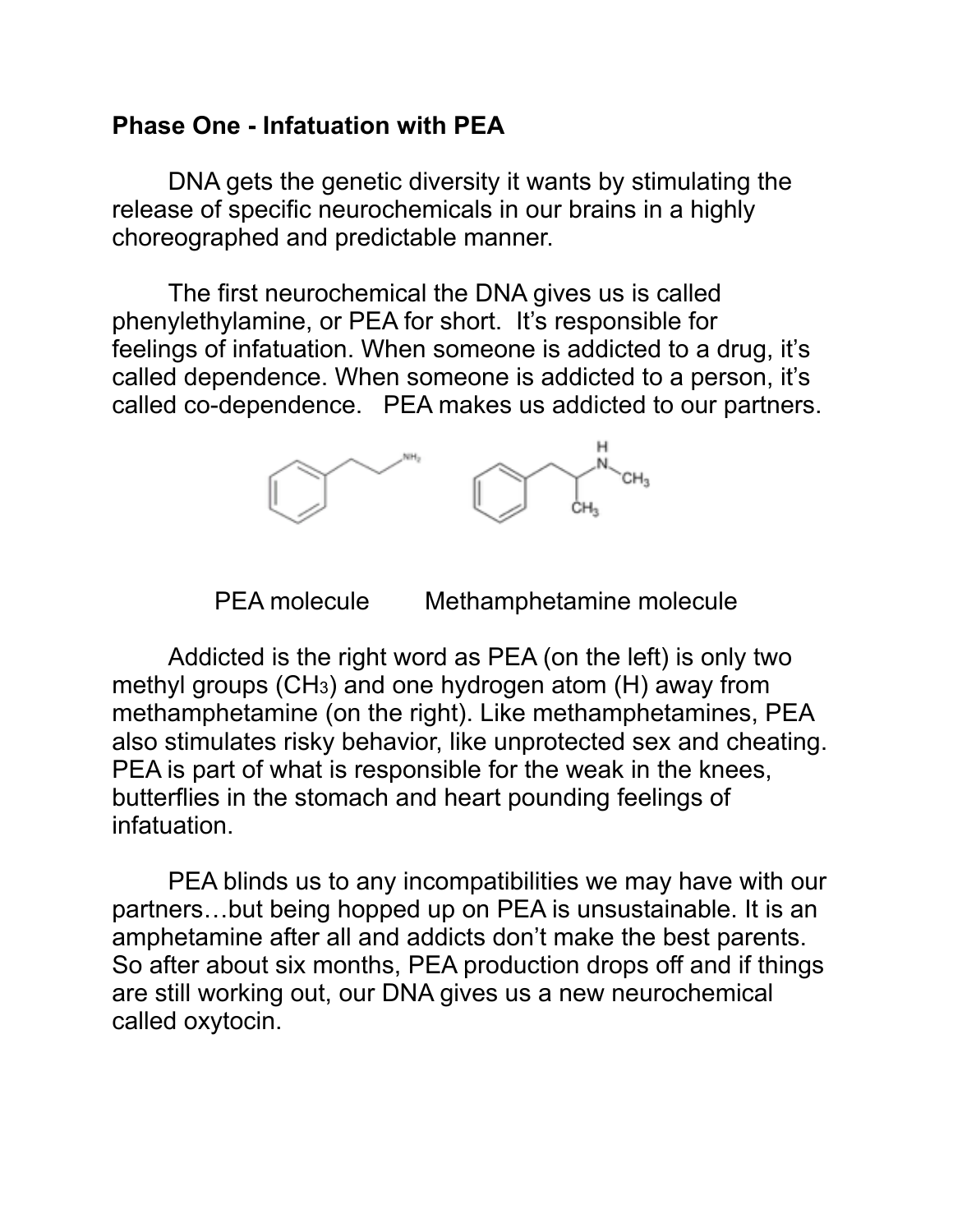#### **Phase One - Infatuation with PEA**

 DNA gets the genetic diversity it wants by stimulating the release of specific neurochemicals in our brains in a highly choreographed and predictable manner.

 The first neurochemical the DNA gives us is called phenylethylamine, or PEA for short. It's responsible for feelings of infatuation. When someone is addicted to a drug, it's called dependence. When someone is addicted to a person, it's called co-dependence. PEA makes us addicted to our partners.



PEA molecule Methamphetamine molecule

Addicted is the right word as PEA (on the left) is only two methyl groups (CH3) and one hydrogen atom (H) away from methamphetamine (on the right). Like methamphetamines, PEA also stimulates risky behavior, like unprotected sex and cheating. PEA is part of what is responsible for the weak in the knees, butterflies in the stomach and heart pounding feelings of infatuation.

PEA blinds us to any incompatibilities we may have with our partners…but being hopped up on PEA is unsustainable. It is an amphetamine after all and addicts don't make the best parents. So after about six months, PEA production drops off and if things are still working out, our DNA gives us a new neurochemical called oxytocin.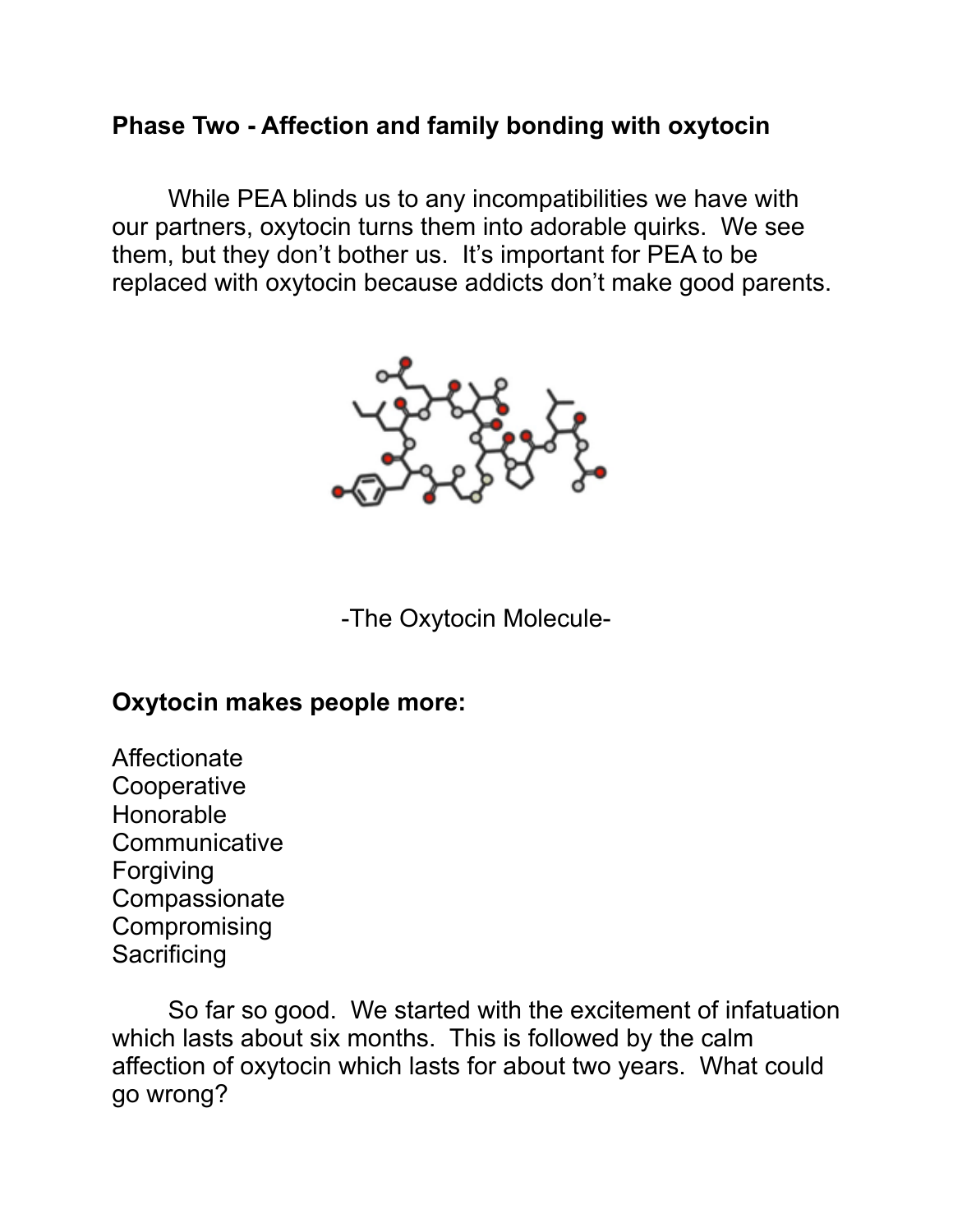#### **Phase Two - Affection and family bonding with oxytocin**

 While PEA blinds us to any incompatibilities we have with our partners, oxytocin turns them into adorable quirks. We see them, but they don't bother us. It's important for PEA to be replaced with oxytocin because addicts don't make good parents.



-The Oxytocin Molecule-

#### **Oxytocin makes people more:**

Affectionate **Cooperative** Honorable **Communicative** Forgiving **Compassionate Compromising Sacrificing** 

 So far so good. We started with the excitement of infatuation which lasts about six months. This is followed by the calm affection of oxytocin which lasts for about two years. What could go wrong?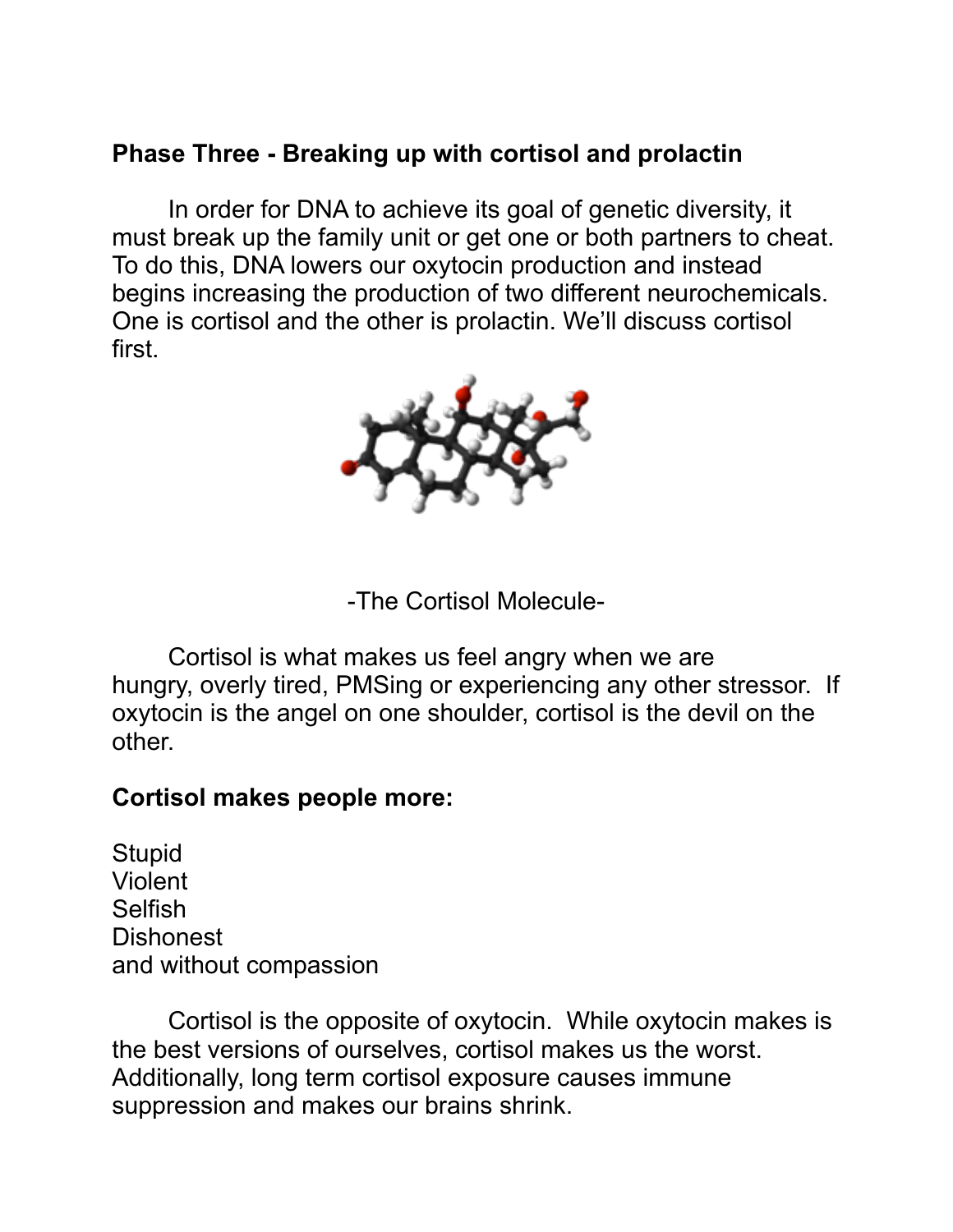#### **Phase Three - Breaking up with cortisol and prolactin**

 In order for DNA to achieve its goal of genetic diversity, it must break up the family unit or get one or both partners to cheat. To do this, DNA lowers our oxytocin production and instead begins increasing the production of two different neurochemicals. One is cortisol and the other is prolactin. We'll discuss cortisol first.



-The Cortisol Molecule-

 Cortisol is what makes us feel angry when we are hungry, overly tired, PMSing or experiencing any other stressor. If oxytocin is the angel on one shoulder, cortisol is the devil on the other.

#### **Cortisol makes people more:**

**Stupid** Violent Selfish Dishonest and without compassion

Cortisol is the opposite of oxytocin. While oxytocin makes is the best versions of ourselves, cortisol makes us the worst. Additionally, long term cortisol exposure causes immune suppression and makes our brains shrink.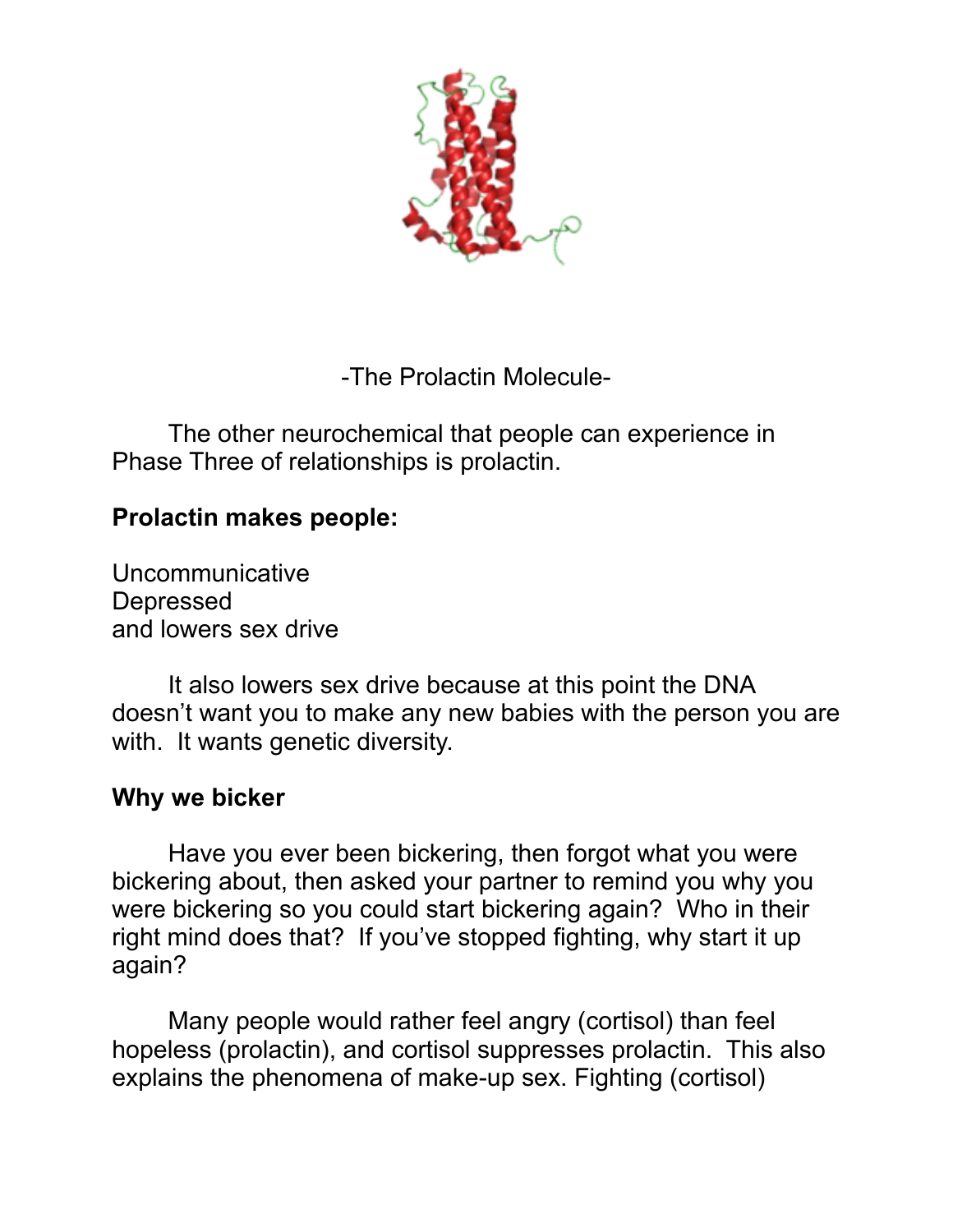

-The Prolactin Molecule-

 The other neurochemical that people can experience in Phase Three of relationships is prolactin.

## **Prolactin makes people:**

Uncommunicative Depressed and lowers sex drive

 It also lowers sex drive because at this point the DNA doesn't want you to make any new babies with the person you are with. It wants genetic diversity.

#### **Why we bicker**

 Have you ever been bickering, then forgot what you were bickering about, then asked your partner to remind you why you were bickering so you could start bickering again? Who in their right mind does that? If you've stopped fighting, why start it up again?

 Many people would rather feel angry (cortisol) than feel hopeless (prolactin), and cortisol suppresses prolactin. This also explains the phenomena of make-up sex. Fighting (cortisol)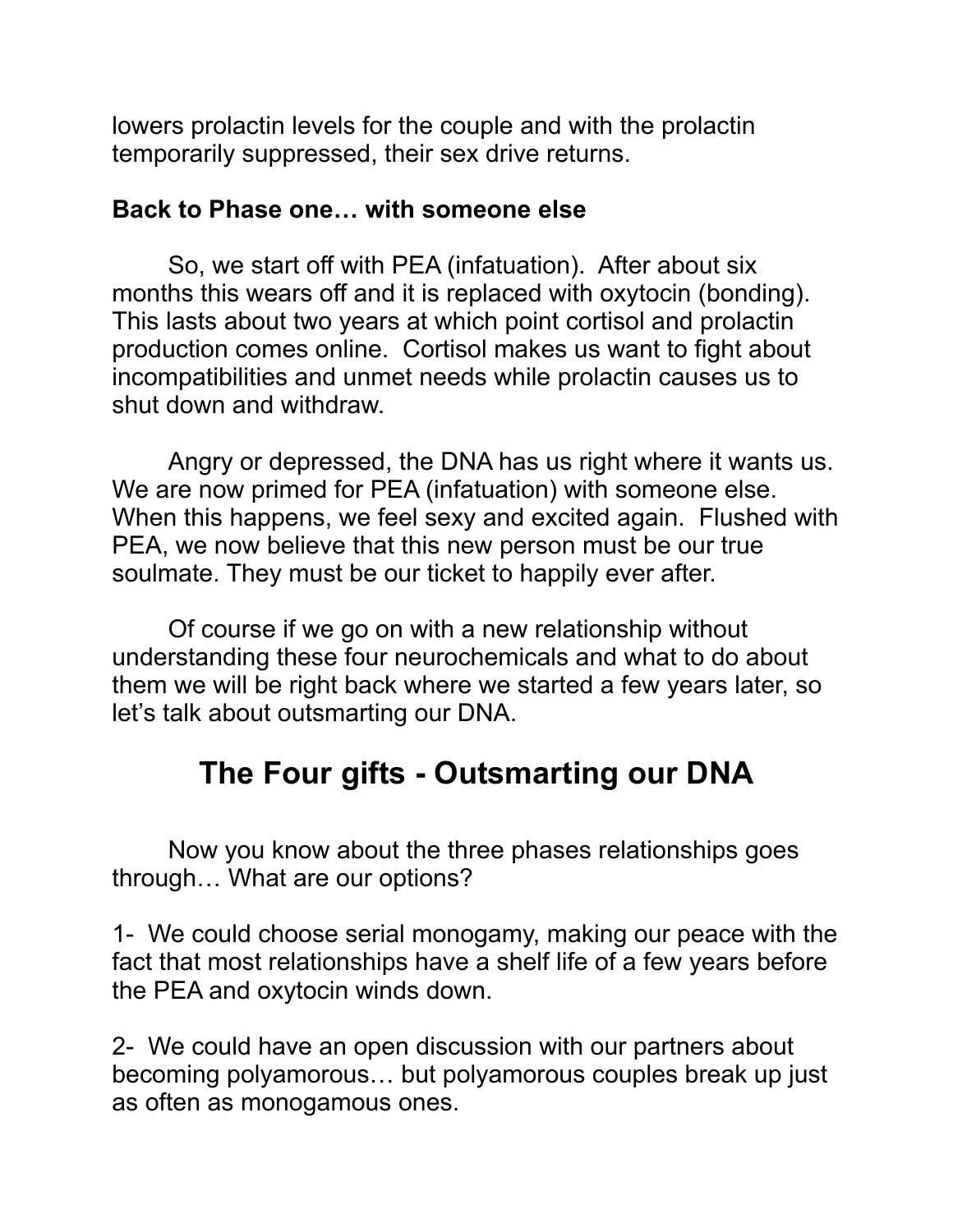lowers prolactin levels for the couple and with the prolactin temporarily suppressed, their sex drive returns.

#### **Back to Phase one… with someone else**

 So, we start off with PEA (infatuation). After about six months this wears off and it is replaced with oxytocin (bonding). This lasts about two years at which point cortisol and prolactin production comes online. Cortisol makes us want to fight about incompatibilities and unmet needs while prolactin causes us to shut down and withdraw.

 Angry or depressed, the DNA has us right where it wants us. We are now primed for PEA (infatuation) with someone else. When this happens, we feel sexy and excited again. Flushed with PEA, we now believe that this new person must be our true soulmate. They must be our ticket to happily ever after.

Of course if we go on with a new relationship without understanding these four neurochemicals and what to do about them we will be right back where we started a few years later, so let's talk about outsmarting our DNA.

# **The Four gifts - Outsmarting our DNA**

 Now you know about the three phases relationships goes through… What are our options?

1- We could choose serial monogamy, making our peace with the fact that most relationships have a shelf life of a few years before the PEA and oxytocin winds down.

2- We could have an open discussion with our partners about becoming polyamorous… but polyamorous couples break up just as often as monogamous ones.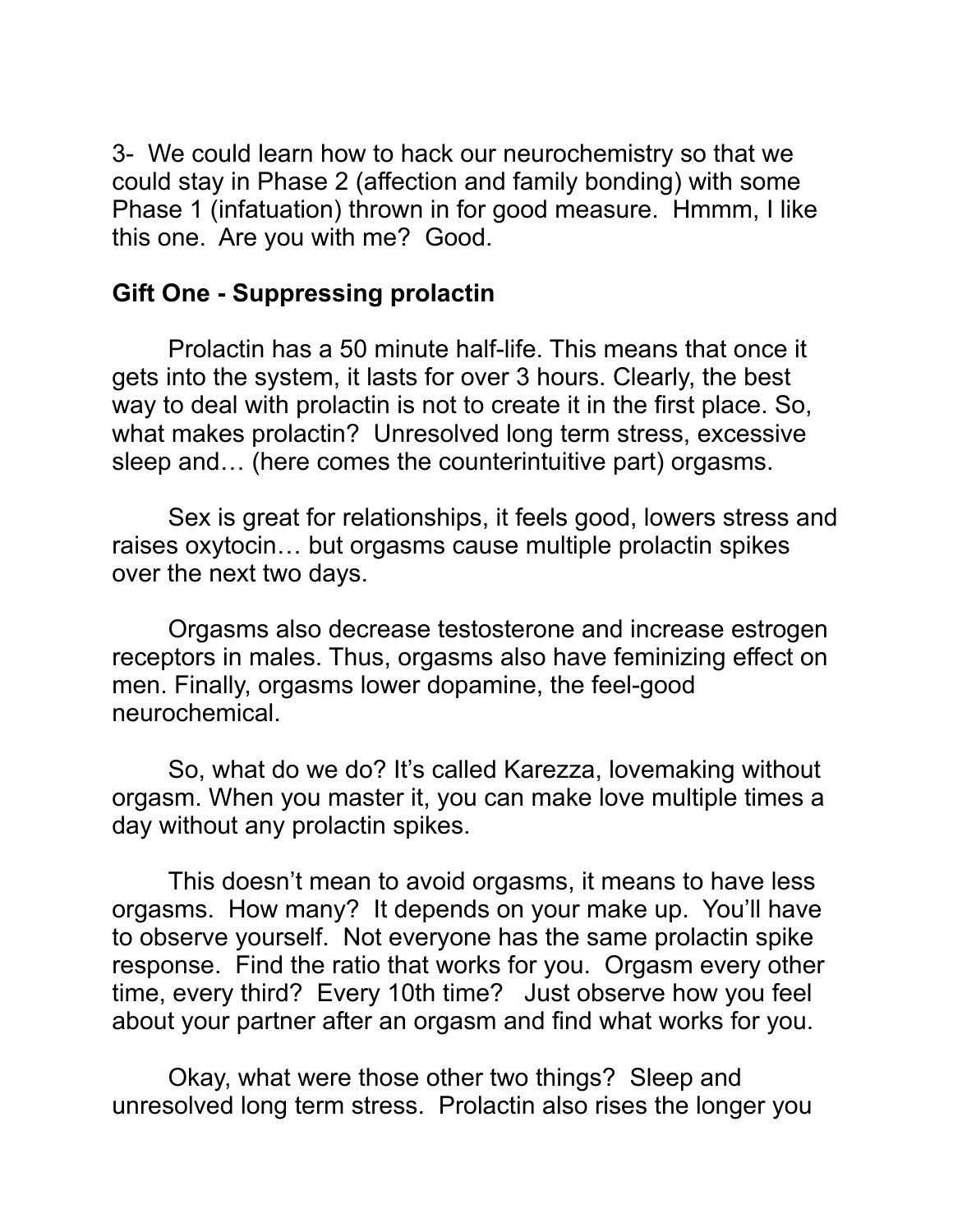3- We could learn how to hack our neurochemistry so that we could stay in Phase 2 (affection and family bonding) with some Phase 1 (infatuation) thrown in for good measure. Hmmm, I like this one. Are you with me? Good.

## **Gift One - Suppressing prolactin**

Prolactin has a 50 minute half-life. This means that once it gets into the system, it lasts for over 3 hours. Clearly, the best way to deal with prolactin is not to create it in the first place. So, what makes prolactin? Unresolved long term stress, excessive sleep and… (here comes the counterintuitive part) orgasms.

 Sex is great for relationships, it feels good, lowers stress and raises oxytocin… but orgasms cause multiple prolactin spikes over the next two days.

Orgasms also decrease testosterone and increase estrogen receptors in males. Thus, orgasms also have feminizing effect on men. Finally, orgasms lower dopamine, the feel-good neurochemical.

So, what do we do? It's called Karezza, lovemaking without orgasm. When you master it, you can make love multiple times a day without any prolactin spikes.

 This doesn't mean to avoid orgasms, it means to have less orgasms. How many? It depends on your make up. You'll have to observe yourself. Not everyone has the same prolactin spike response. Find the ratio that works for you. Orgasm every other time, every third? Every 10th time? Just observe how you feel about your partner after an orgasm and find what works for you.

 Okay, what were those other two things? Sleep and unresolved long term stress. Prolactin also rises the longer you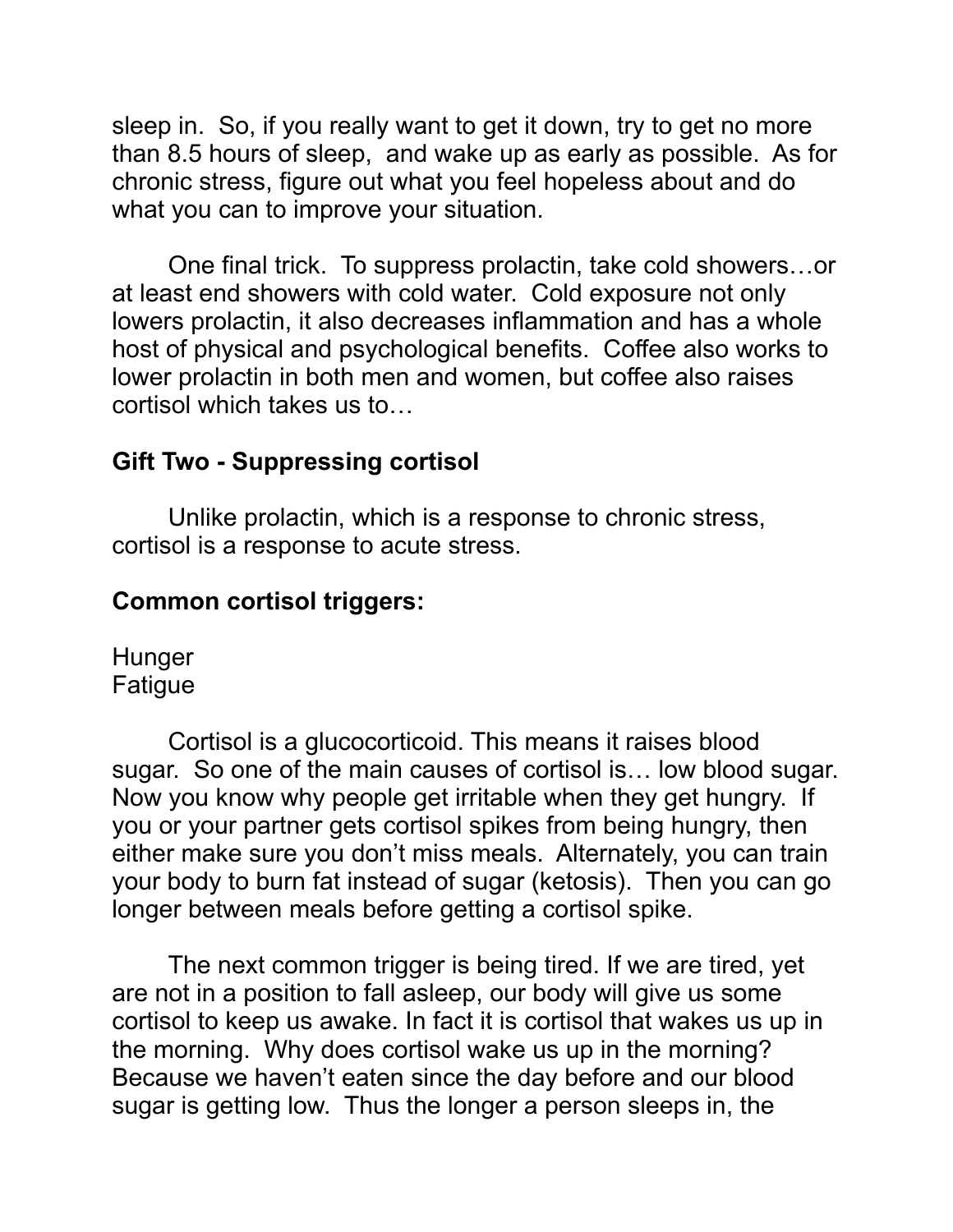sleep in. So, if you really want to get it down, try to get no more than 8.5 hours of sleep, and wake up as early as possible. As for chronic stress, figure out what you feel hopeless about and do what you can to improve your situation.

 One final trick. To suppress prolactin, take cold showers…or at least end showers with cold water. Cold exposure not only lowers prolactin, it also decreases inflammation and has a whole host of physical and psychological benefits. Coffee also works to lower prolactin in both men and women, but coffee also raises cortisol which takes us to…

## **Gift Two - Suppressing cortisol**

Unlike prolactin, which is a response to chronic stress, cortisol is a response to acute stress.

#### **Common cortisol triggers:**

**Hunger** Fatigue

Cortisol is a glucocorticoid. This means it raises blood sugar. So one of the main causes of cortisol is… low blood sugar. Now you know why people get irritable when they get hungry. If you or your partner gets cortisol spikes from being hungry, then either make sure you don't miss meals. Alternately, you can train your body to burn fat instead of sugar (ketosis). Then you can go longer between meals before getting a cortisol spike.

The next common trigger is being tired. If we are tired, yet are not in a position to fall asleep, our body will give us some cortisol to keep us awake. In fact it is cortisol that wakes us up in the morning. Why does cortisol wake us up in the morning? Because we haven't eaten since the day before and our blood sugar is getting low. Thus the longer a person sleeps in, the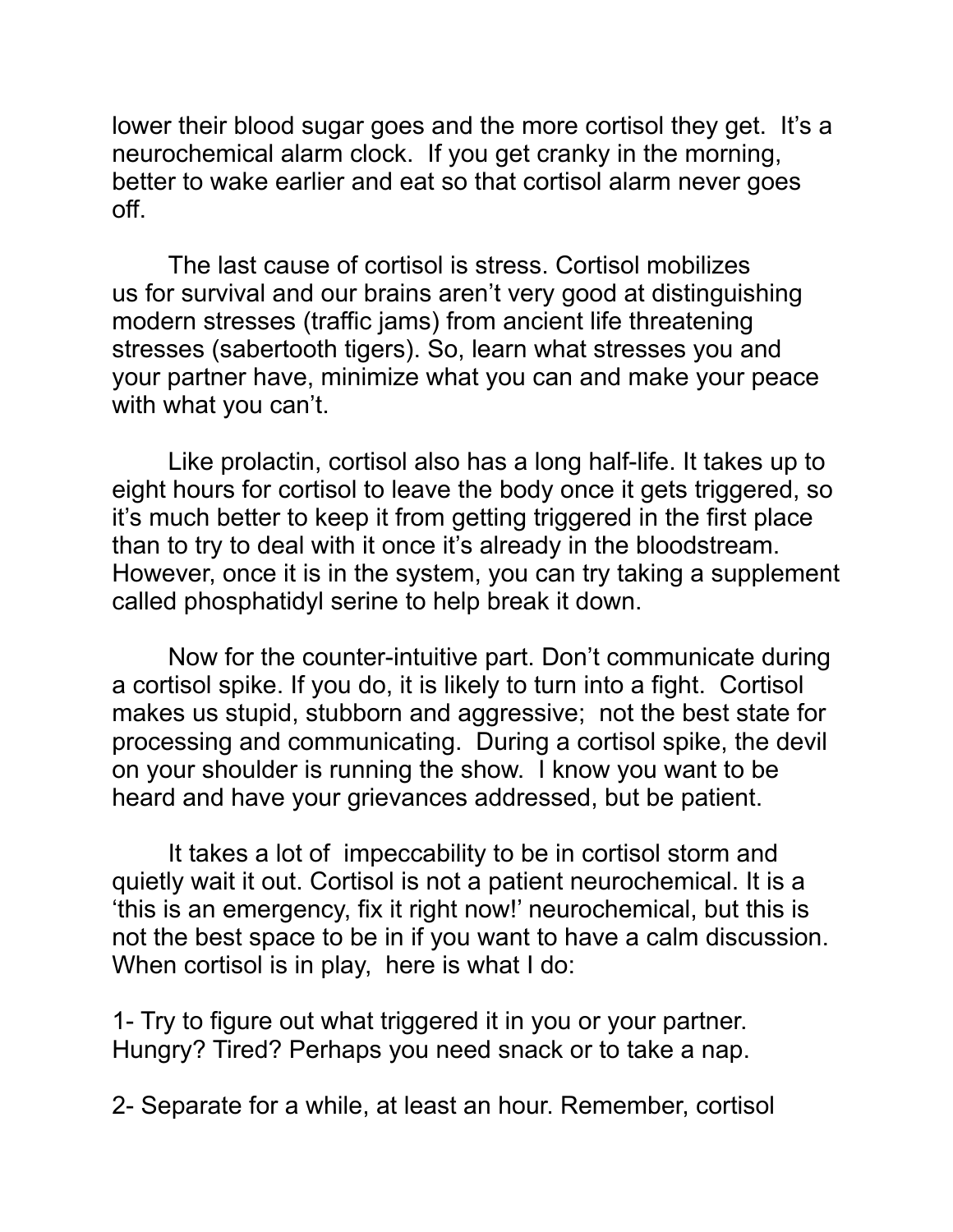lower their blood sugar goes and the more cortisol they get. It's a neurochemical alarm clock. If you get cranky in the morning, better to wake earlier and eat so that cortisol alarm never goes off.

 The last cause of cortisol is stress. Cortisol mobilizes us for survival and our brains aren't very good at distinguishing modern stresses (traffic jams) from ancient life threatening stresses (sabertooth tigers). So, learn what stresses you and your partner have, minimize what you can and make your peace with what you can't.

 Like prolactin, cortisol also has a long half-life. It takes up to eight hours for cortisol to leave the body once it gets triggered, so it's much better to keep it from getting triggered in the first place than to try to deal with it once it's already in the bloodstream. However, once it is in the system, you can try taking a supplement called phosphatidyl serine to help break it down.

Now for the counter-intuitive part. Don't communicate during a cortisol spike. If you do, it is likely to turn into a fight. Cortisol makes us stupid, stubborn and aggressive; not the best state for processing and communicating. During a cortisol spike, the devil on your shoulder is running the show. I know you want to be heard and have your grievances addressed, but be patient.

 It takes a lot of impeccability to be in cortisol storm and quietly wait it out. Cortisol is not a patient neurochemical. It is a 'this is an emergency, fix it right now!' neurochemical, but this is not the best space to be in if you want to have a calm discussion. When cortisol is in play, here is what I do:

1- Try to figure out what triggered it in you or your partner. Hungry? Tired? Perhaps you need snack or to take a nap.

2- Separate for a while, at least an hour. Remember, cortisol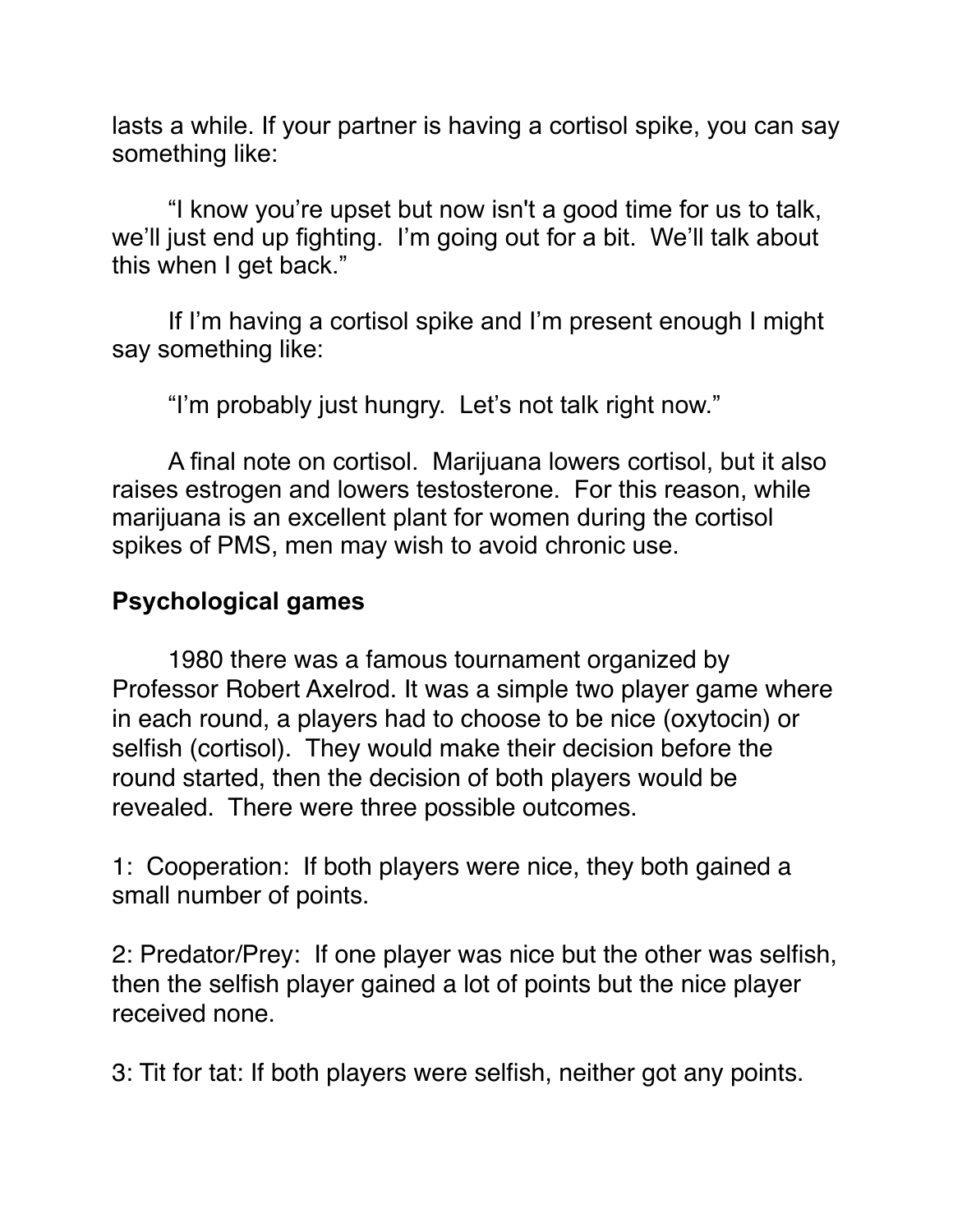lasts a while. If your partner is having a cortisol spike, you can say something like:

 "I know you're upset but now isn't a good time for us to talk, we'll just end up fighting. I'm going out for a bit. We'll talk about this when I get back."

 If I'm having a cortisol spike and I'm present enough I might say something like:

"I'm probably just hungry. Let's not talk right now."

 A final note on cortisol. Marijuana lowers cortisol, but it also raises estrogen and lowers testosterone. For this reason, while marijuana is an excellent plant for women during the cortisol spikes of PMS, men may wish to avoid chronic use.

#### **Psychological games**

1980 there was a famous tournament organized by Professor Robert Axelrod. It was a simple two player game where in each round, a players had to choose to be nice (oxytocin) or selfish (cortisol). They would make their decision before the round started, then the decision of both players would be revealed. There were three possible outcomes.

1: Cooperation: If both players were nice, they both gained a small number of points.

2: Predator/Prey: If one player was nice but the other was selfish, then the selfish player gained a lot of points but the nice player received none.

3: Tit for tat: If both players were selfish, neither got any points.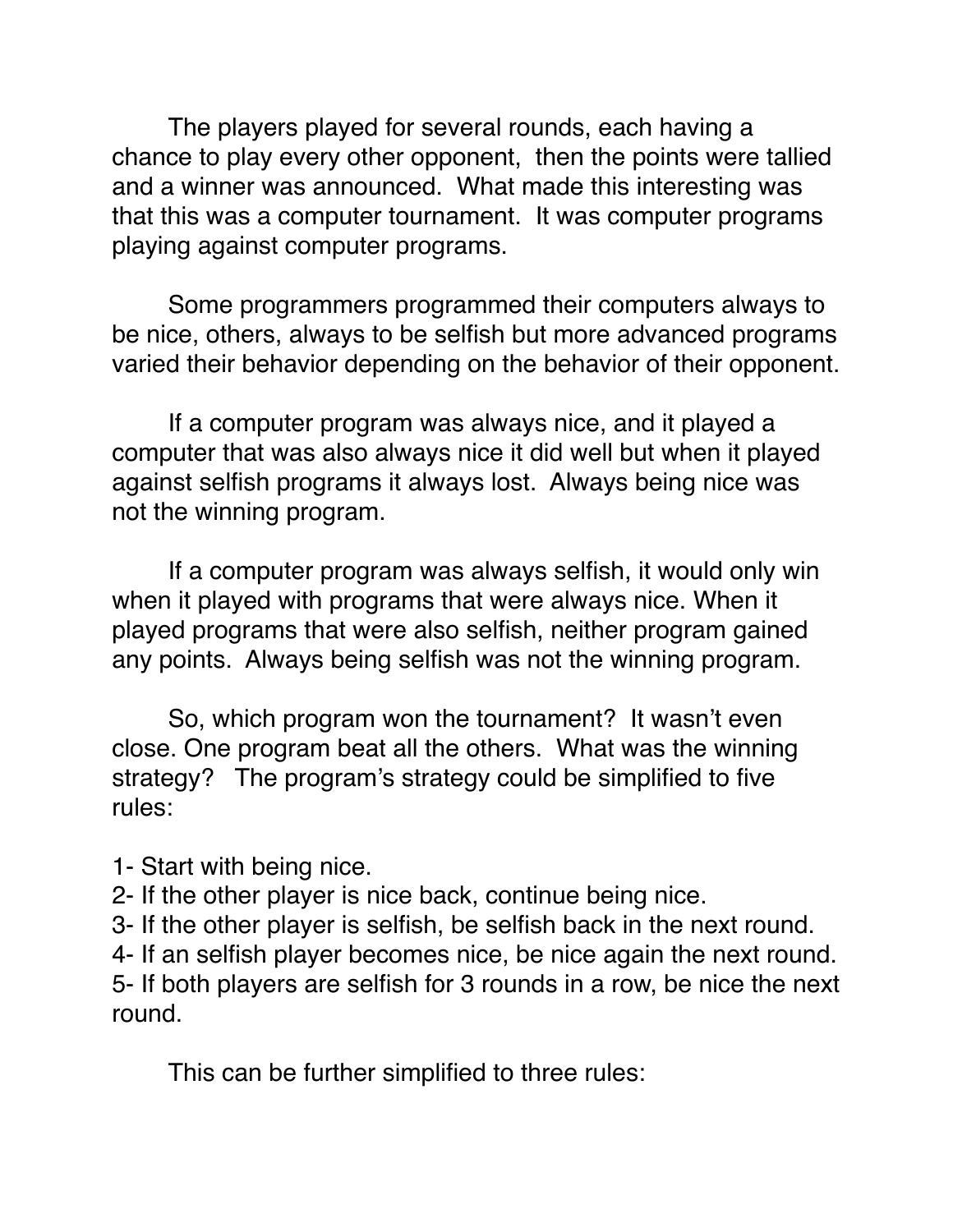The players played for several rounds, each having a chance to play every other opponent, then the points were tallied and a winner was announced. What made this interesting was that this was a computer tournament. It was computer programs playing against computer programs.

Some programmers programmed their computers always to be nice, others, always to be selfish but more advanced programs varied their behavior depending on the behavior of their opponent.

If a computer program was always nice, and it played a computer that was also always nice it did well but when it played against selfish programs it always lost. Always being nice was not the winning program.

If a computer program was always selfish, it would only win when it played with programs that were always nice. When it played programs that were also selfish, neither program gained any points. Always being selfish was not the winning program.

So, which program won the tournament? It wasn't even close. One program beat all the others. What was the winning strategy? The program's strategy could be simplified to five rules:

- 1- Start with being nice.
- 2- If the other player is nice back, continue being nice.
- 3- If the other player is selfish, be selfish back in the next round.

4- If an selfish player becomes nice, be nice again the next round. 5- If both players are selfish for 3 rounds in a row, be nice the next round.

This can be further simplified to three rules: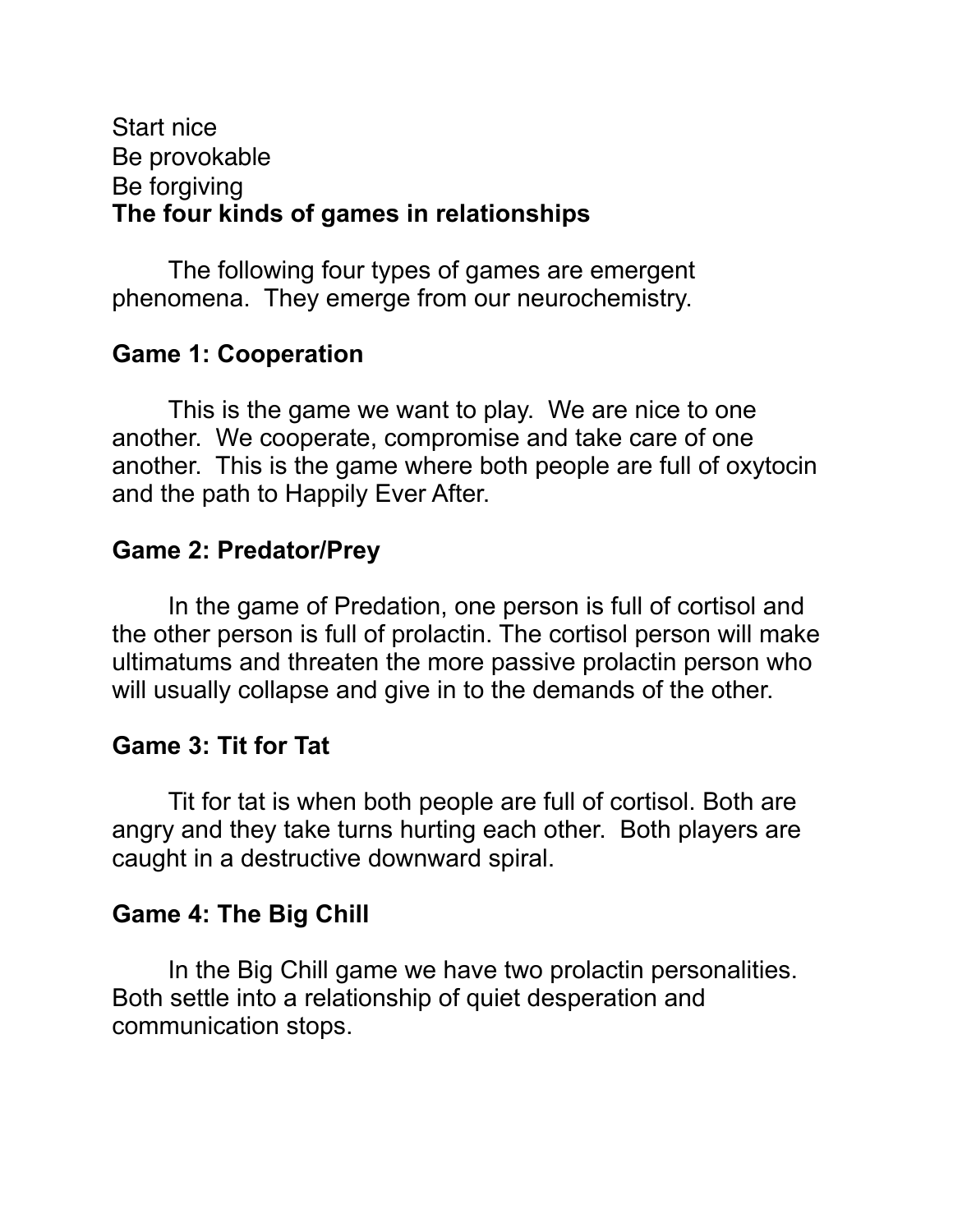#### Start nice Be provokable Be forgiving **The four kinds of games in relationships**

 The following four types of games are emergent phenomena. They emerge from our neurochemistry.

## **Game 1: Cooperation**

This is the game we want to play. We are nice to one another. We cooperate, compromise and take care of one another. This is the game where both people are full of oxytocin and the path to Happily Ever After.

## **Game 2: Predator/Prey**

 In the game of Predation, one person is full of cortisol and the other person is full of prolactin. The cortisol person will make ultimatums and threaten the more passive prolactin person who will usually collapse and give in to the demands of the other.

## **Game 3: Tit for Tat**

 Tit for tat is when both people are full of cortisol. Both are angry and they take turns hurting each other. Both players are caught in a destructive downward spiral.

## **Game 4: The Big Chill**

 In the Big Chill game we have two prolactin personalities. Both settle into a relationship of quiet desperation and communication stops.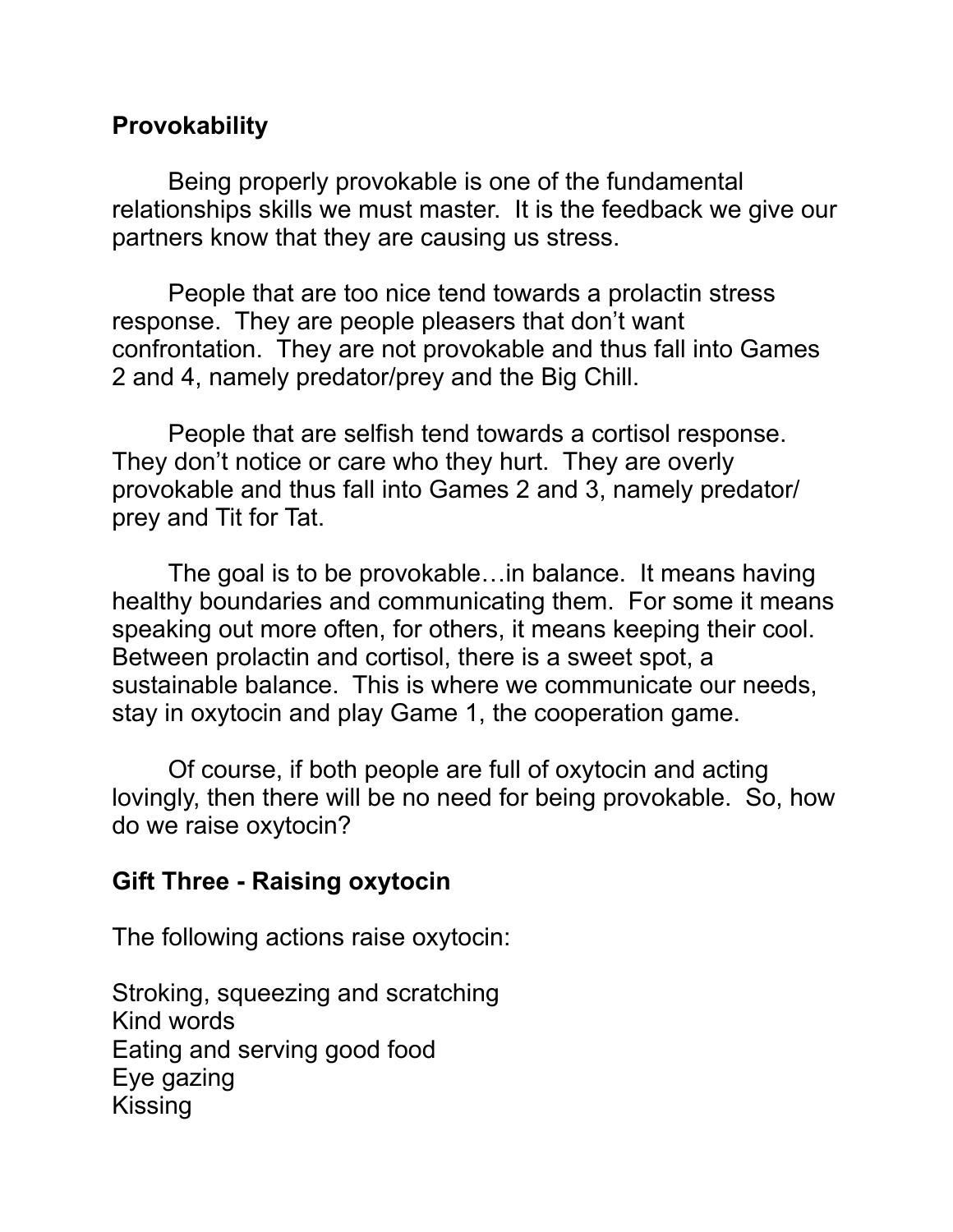## **Provokability**

 Being properly provokable is one of the fundamental relationships skills we must master. It is the feedback we give our partners know that they are causing us stress.

 People that are too nice tend towards a prolactin stress response. They are people pleasers that don't want confrontation. They are not provokable and thus fall into Games 2 and 4, namely predator/prey and the Big Chill.

 People that are selfish tend towards a cortisol response. They don't notice or care who they hurt. They are overly provokable and thus fall into Games 2 and 3, namely predator/ prey and Tit for Tat.

 The goal is to be provokable…in balance. It means having healthy boundaries and communicating them. For some it means speaking out more often, for others, it means keeping their cool. Between prolactin and cortisol, there is a sweet spot, a sustainable balance. This is where we communicate our needs, stay in oxytocin and play Game 1, the cooperation game.

 Of course, if both people are full of oxytocin and acting lovingly, then there will be no need for being provokable. So, how do we raise oxytocin?

#### **Gift Three - Raising oxytocin**

The following actions raise oxytocin:

Stroking, squeezing and scratching Kind words Eating and serving good food Eye gazing Kissing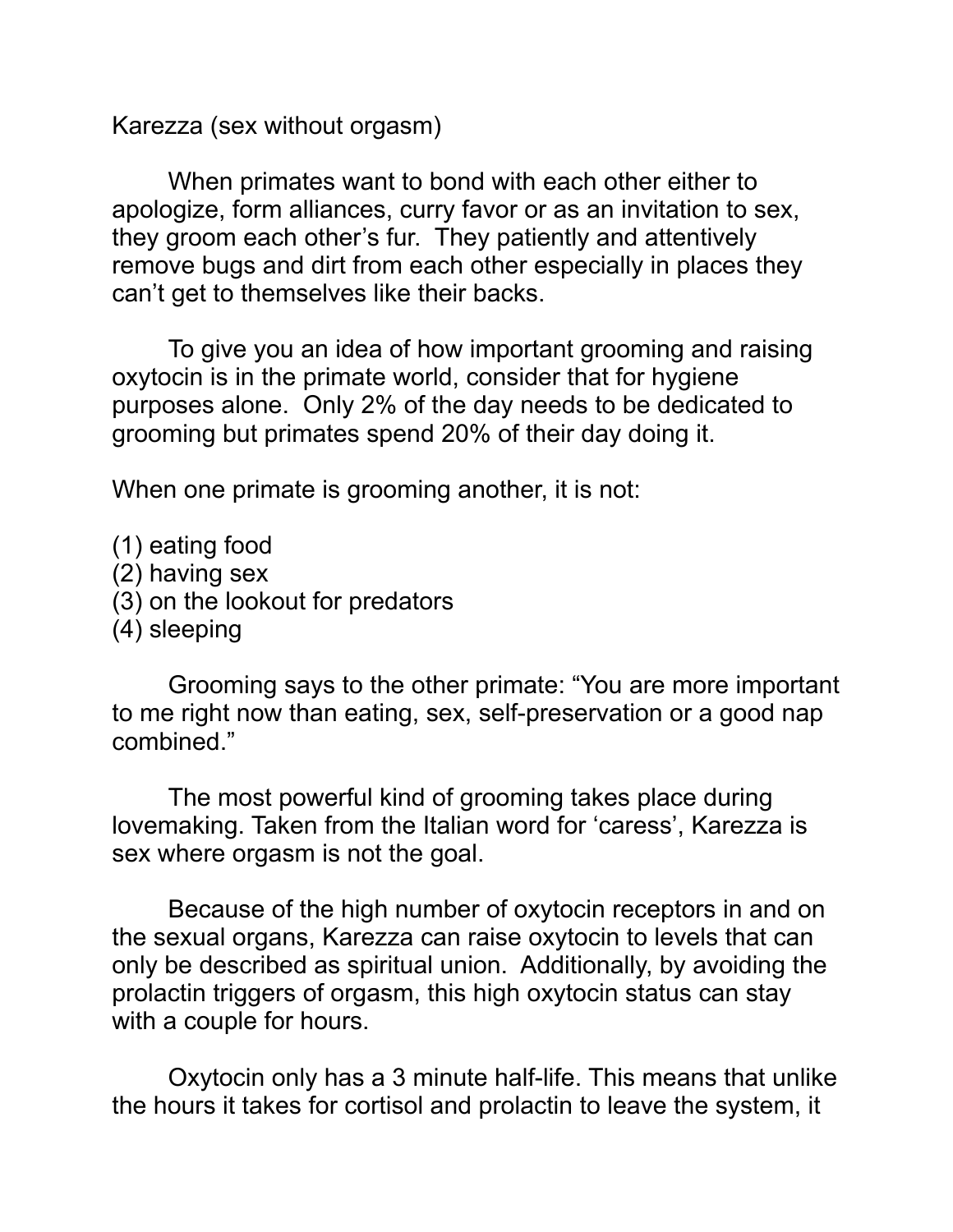Karezza (sex without orgasm)

When primates want to bond with each other either to apologize, form alliances, curry favor or as an invitation to sex, they groom each other's fur. They patiently and attentively remove bugs and dirt from each other especially in places they can't get to themselves like their backs.

To give you an idea of how important grooming and raising oxytocin is in the primate world, consider that for hygiene purposes alone. Only 2% of the day needs to be dedicated to grooming but primates spend 20% of their day doing it.

When one primate is grooming another, it is not:

- (1) eating food
- (2) having sex
- (3) on the lookout for predators
- (4) sleeping

Grooming says to the other primate: "You are more important to me right now than eating, sex, self-preservation or a good nap combined."

The most powerful kind of grooming takes place during lovemaking. Taken from the Italian word for 'caress', Karezza is sex where orgasm is not the goal.

 Because of the high number of oxytocin receptors in and on the sexual organs, Karezza can raise oxytocin to levels that can only be described as spiritual union. Additionally, by avoiding the prolactin triggers of orgasm, this high oxytocin status can stay with a couple for hours.

 Oxytocin only has a 3 minute half-life. This means that unlike the hours it takes for cortisol and prolactin to leave the system, it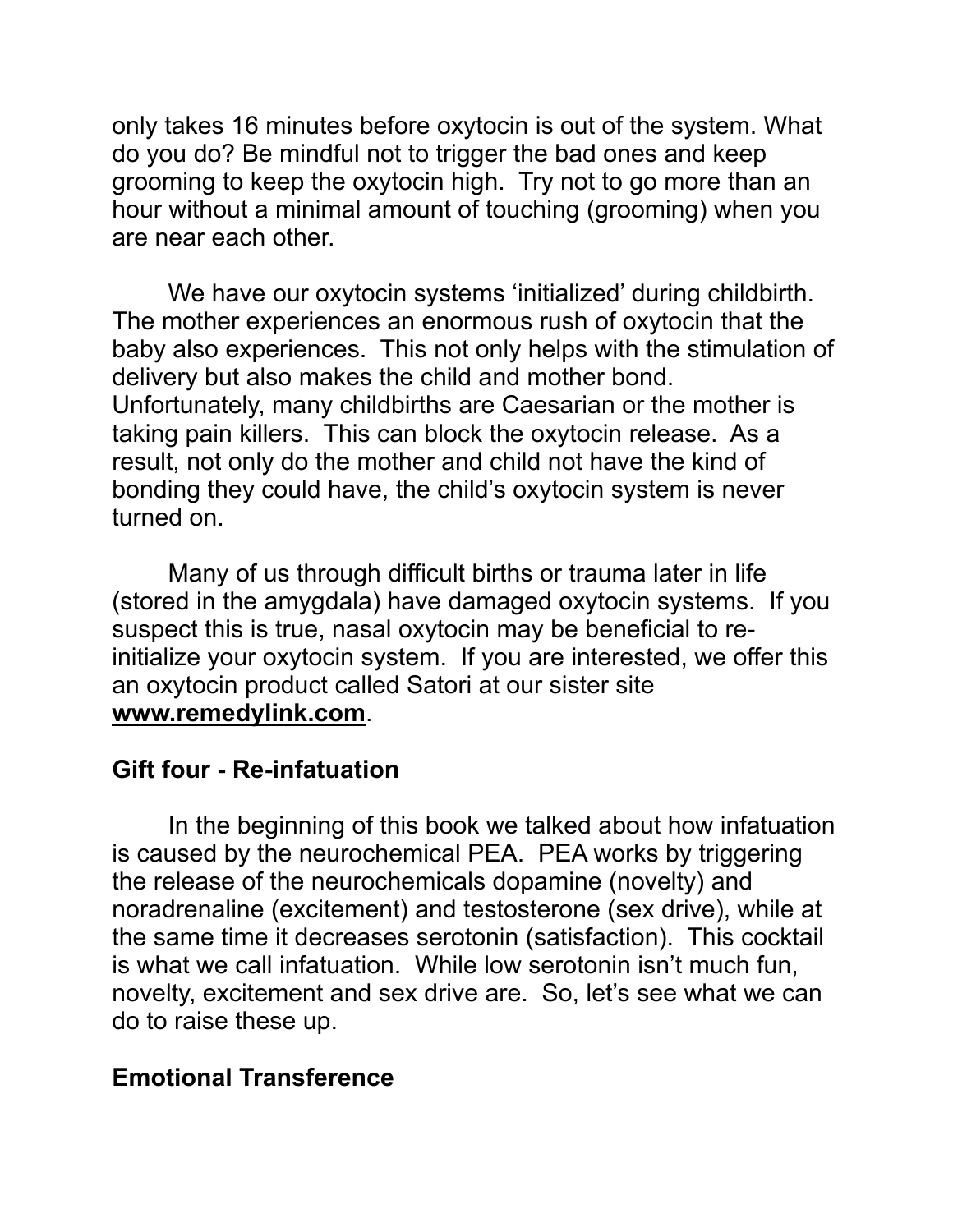only takes 16 minutes before oxytocin is out of the system. What do you do? Be mindful not to trigger the bad ones and keep grooming to keep the oxytocin high. Try not to go more than an hour without a minimal amount of touching (grooming) when you are near each other.

We have our oxytocin systems 'initialized' during childbirth. The mother experiences an enormous rush of oxytocin that the baby also experiences. This not only helps with the stimulation of delivery but also makes the child and mother bond. Unfortunately, many childbirths are Caesarian or the mother is taking pain killers. This can block the oxytocin release. As a result, not only do the mother and child not have the kind of bonding they could have, the child's oxytocin system is never turned on.

 Many of us through difficult births or trauma later in life (stored in the amygdala) have damaged oxytocin systems. If you suspect this is true, nasal oxytocin may be beneficial to reinitialize your oxytocin system. If you are interested, we offer this an oxytocin product called Satori at our sister site **www.remedylink.com**.

#### **Gift four - Re-infatuation**

 In the beginning of this book we talked about how infatuation is caused by the neurochemical PEA. PEA works by triggering the release of the neurochemicals dopamine (novelty) and noradrenaline (excitement) and testosterone (sex drive), while at the same time it decreases serotonin (satisfaction). This cocktail is what we call infatuation. While low serotonin isn't much fun, novelty, excitement and sex drive are. So, let's see what we can do to raise these up.

## **Emotional Transference**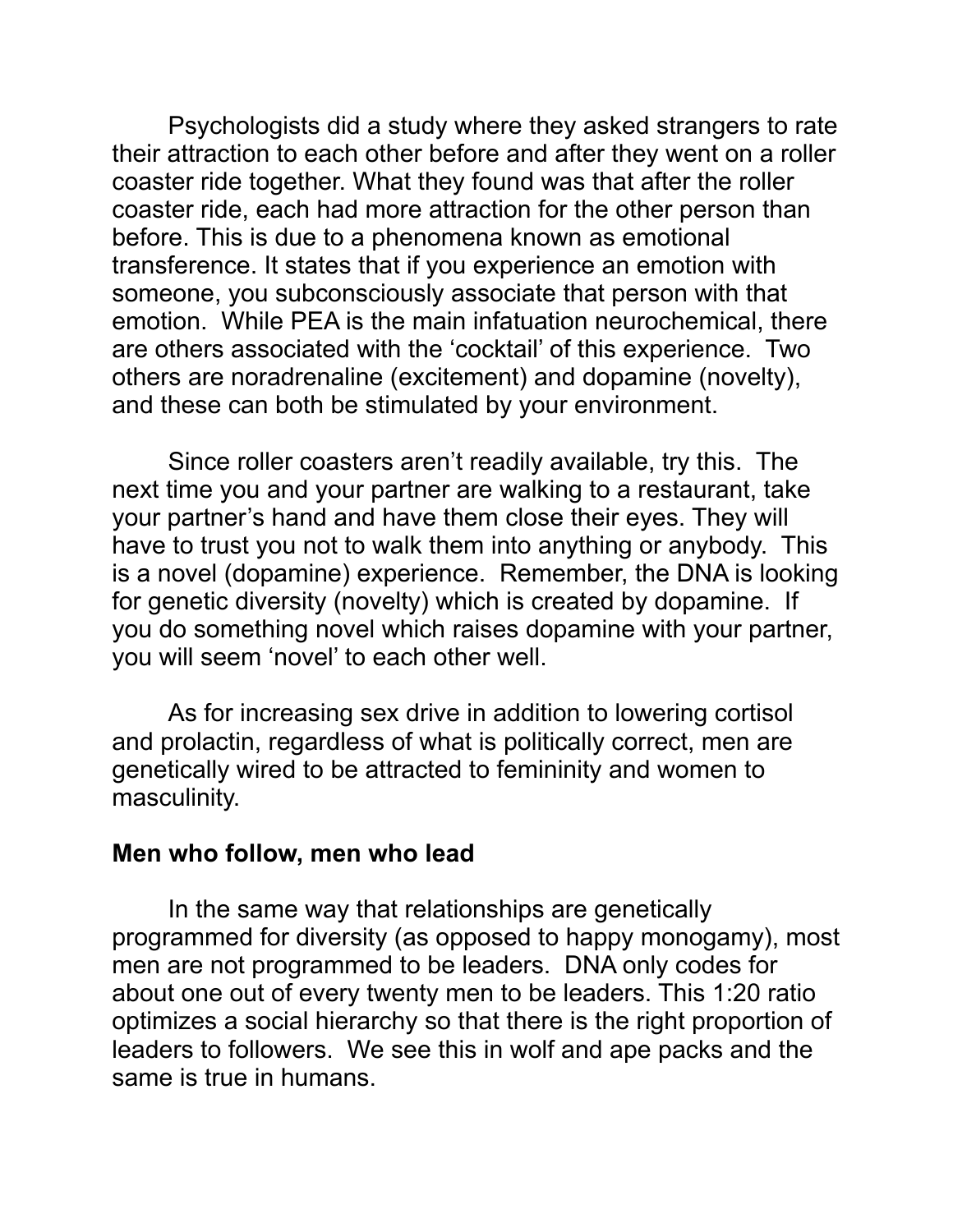Psychologists did a study where they asked strangers to rate their attraction to each other before and after they went on a roller coaster ride together. What they found was that after the roller coaster ride, each had more attraction for the other person than before. This is due to a phenomena known as emotional transference. It states that if you experience an emotion with someone, you subconsciously associate that person with that emotion. While PEA is the main infatuation neurochemical, there are others associated with the 'cocktail' of this experience. Two others are noradrenaline (excitement) and dopamine (novelty), and these can both be stimulated by your environment.

 Since roller coasters aren't readily available, try this. The next time you and your partner are walking to a restaurant, take your partner's hand and have them close their eyes. They will have to trust you not to walk them into anything or anybody. This is a novel (dopamine) experience. Remember, the DNA is looking for genetic diversity (novelty) which is created by dopamine. If you do something novel which raises dopamine with your partner, you will seem 'novel' to each other well.

 As for increasing sex drive in addition to lowering cortisol and prolactin, regardless of what is politically correct, men are genetically wired to be attracted to femininity and women to masculinity.

#### **Men who follow, men who lead**

 In the same way that relationships are genetically programmed for diversity (as opposed to happy monogamy), most men are not programmed to be leaders. DNA only codes for about one out of every twenty men to be leaders. This 1:20 ratio optimizes a social hierarchy so that there is the right proportion of leaders to followers. We see this in wolf and ape packs and the same is true in humans.